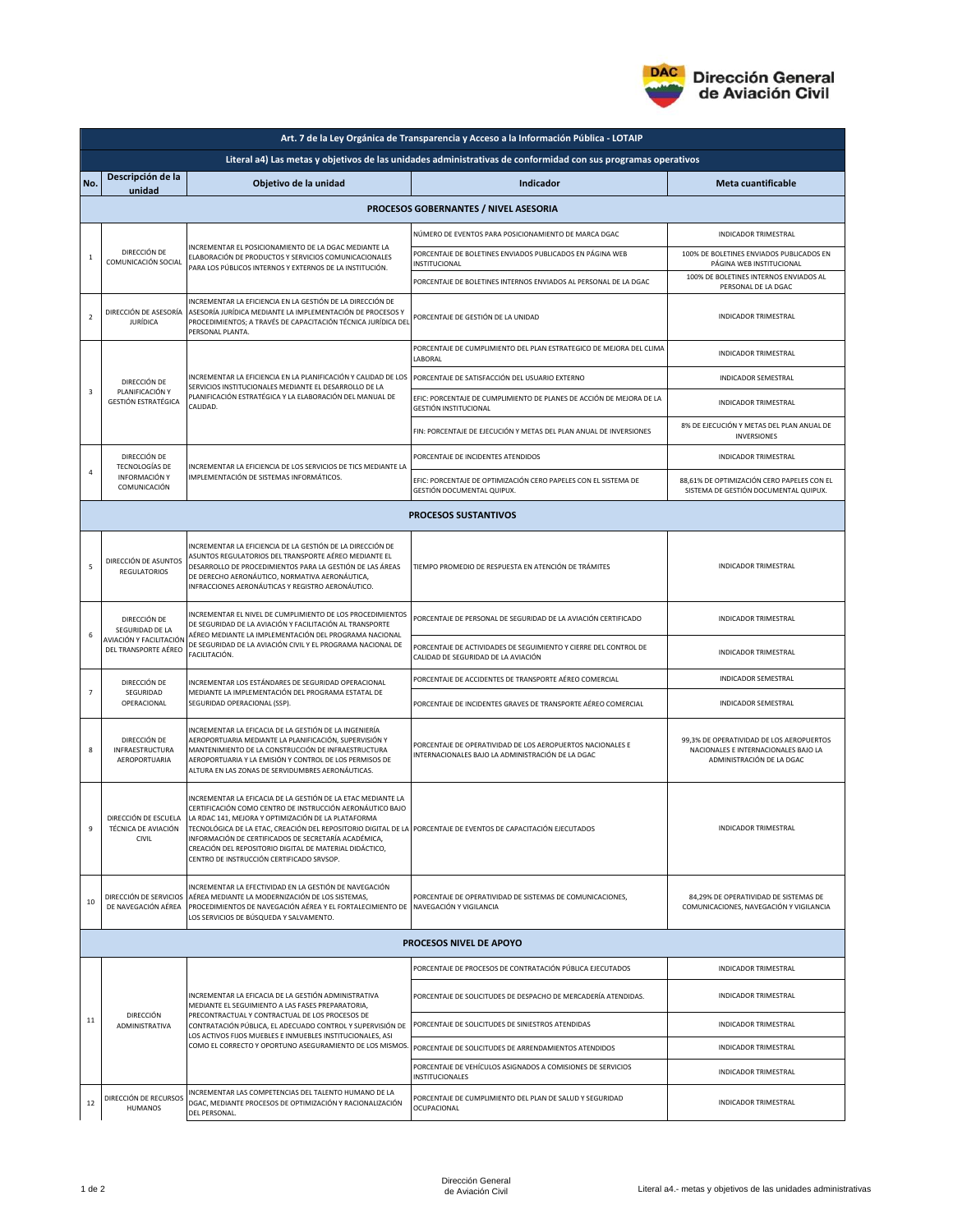

|                                                                                                               | Art. 7 de la Ley Orgánica de Transparencia y Acceso a la Información Pública - LOTAIP |                                                                                                                                                                                                                                                                                                                                                                                                                                                                     |                                                                                                                 |                                                                                                               |  |  |  |  |
|---------------------------------------------------------------------------------------------------------------|---------------------------------------------------------------------------------------|---------------------------------------------------------------------------------------------------------------------------------------------------------------------------------------------------------------------------------------------------------------------------------------------------------------------------------------------------------------------------------------------------------------------------------------------------------------------|-----------------------------------------------------------------------------------------------------------------|---------------------------------------------------------------------------------------------------------------|--|--|--|--|
| Literal a4) Las metas y objetivos de las unidades administrativas de conformidad con sus programas operativos |                                                                                       |                                                                                                                                                                                                                                                                                                                                                                                                                                                                     |                                                                                                                 |                                                                                                               |  |  |  |  |
| No.                                                                                                           | Descripción de la<br>unidad                                                           | Objetivo de la unidad                                                                                                                                                                                                                                                                                                                                                                                                                                               | Indicador                                                                                                       | Meta cuantificable                                                                                            |  |  |  |  |
|                                                                                                               | PROCESOS GOBERNANTES / NIVEL ASESORIA                                                 |                                                                                                                                                                                                                                                                                                                                                                                                                                                                     |                                                                                                                 |                                                                                                               |  |  |  |  |
|                                                                                                               |                                                                                       |                                                                                                                                                                                                                                                                                                                                                                                                                                                                     | NÚMERO DE EVENTOS PARA POSICIONAMIENTO DE MARCA DGAC                                                            | INDICADOR TRIMESTRAL                                                                                          |  |  |  |  |
| $\mathbf 1$                                                                                                   | DIRECCIÓN DE<br>COMUNICACIÓN SOCIAL                                                   | INCREMENTAR EL POSICIONAMIENTO DE LA DGAC MEDIANTE LA<br>ELABORACIÓN DE PRODUCTOS Y SERVICIOS COMUNICACIONALES<br>PARA LOS PÚBLICOS INTERNOS Y EXTERNOS DE LA INSTITUCIÓN.                                                                                                                                                                                                                                                                                          | PORCENTAJE DE BOLETINES ENVIADOS PUBLICADOS EN PÁGINA WEB<br>INSTITUCIONAL                                      | 100% DE BOLETINES ENVIADOS PUBLICADOS EN<br>PÁGINA WEB INSTITUCIONAL                                          |  |  |  |  |
|                                                                                                               |                                                                                       |                                                                                                                                                                                                                                                                                                                                                                                                                                                                     | PORCENTAJE DE BOLETINES INTERNOS ENVIADOS AL PERSONAL DE LA DGAC                                                | 100% DE BOLETINES INTERNOS ENVIADOS AL<br>PERSONAL DE LA DGAC                                                 |  |  |  |  |
| $\overline{2}$                                                                                                | DIRECCIÓN DE ASESORÍA<br><b>JURÍDICA</b>                                              | INCREMENTAR LA EFICIENCIA EN LA GESTIÓN DE LA DIRECCIÓN DE<br>ASESORÍA JURÍDICA MEDIANTE LA IMPLEMENTACIÓN DE PROCESOS Y<br>PROCEDIMIENTOS; A TRAVÉS DE CAPACITACIÓN TÉCNICA JURÍDICA DEL<br>PERSONAL PLANTA.                                                                                                                                                                                                                                                       | PORCENTAJE DE GESTIÓN DE LA UNIDAD                                                                              | INDICADOR TRIMESTRAL                                                                                          |  |  |  |  |
| $\overline{\mathbf{3}}$                                                                                       | DIRECCIÓN DE<br>PLANIFICACIÓN Y<br><b>GESTIÓN ESTRATÉGICA</b>                         | INCREMENTAR LA EFICIENCIA EN LA PLANIFICACIÓN Y CALIDAD DE LOS<br>SERVICIOS INSTITUCIONALES MEDIANTE EL DESARROLLO DE LA<br>PLANIFICACIÓN ESTRATÉGICA Y LA ELABORACIÓN DEL MANUAL DE<br>CALIDAD.                                                                                                                                                                                                                                                                    | PORCENTAJE DE CUMPLIMIENTO DEL PLAN ESTRATEGICO DE MEJORA DEL CLIMA<br>LABORAL                                  | <b>INDICADOR TRIMESTRAL</b>                                                                                   |  |  |  |  |
|                                                                                                               |                                                                                       |                                                                                                                                                                                                                                                                                                                                                                                                                                                                     | PORCENTAJE DE SATISFACCIÓN DEL USUARIO EXTERNO                                                                  | INDICADOR SEMESTRAL                                                                                           |  |  |  |  |
|                                                                                                               |                                                                                       |                                                                                                                                                                                                                                                                                                                                                                                                                                                                     | EFIC: PORCENTAJE DE CUMPLIMIENTO DE PLANES DE ACCIÓN DE MEJORA DE LA<br>GESTIÓN INSTITUCIONAL                   | <b>INDICADOR TRIMESTRAL</b>                                                                                   |  |  |  |  |
|                                                                                                               |                                                                                       |                                                                                                                                                                                                                                                                                                                                                                                                                                                                     | FIN: PORCENTAJE DE EJECUCIÓN Y METAS DEL PLAN ANUAL DE INVERSIONES                                              | 8% DE EJECUCIÓN Y METAS DEL PLAN ANUAL DE<br><b>INVERSIONES</b>                                               |  |  |  |  |
| 4                                                                                                             | DIRECCIÓN DE<br>TECNOLOGÍAS DE<br>INFORMACIÓN Y<br>COMUNICACIÓN                       | INCREMENTAR LA EFICIENCIA DE LOS SERVICIOS DE TICS MEDIANTE LA<br>IMPLEMENTACIÓN DE SISTEMAS INFORMÁTICOS.                                                                                                                                                                                                                                                                                                                                                          | PORCENTAJE DE INCIDENTES ATENDIDOS                                                                              | INDICADOR TRIMESTRAL                                                                                          |  |  |  |  |
|                                                                                                               |                                                                                       |                                                                                                                                                                                                                                                                                                                                                                                                                                                                     | EFIC: PORCENTAJE DE OPTIMIZACIÓN CERO PAPELES CON EL SISTEMA DE<br>GESTIÓN DOCUMENTAL QUIPUX.                   | 88,61% DE OPTIMIZACIÓN CERO PAPELES CON EL<br>SISTEMA DE GESTIÓN DOCUMENTAL QUIPUX.                           |  |  |  |  |
|                                                                                                               |                                                                                       |                                                                                                                                                                                                                                                                                                                                                                                                                                                                     | <b>PROCESOS SUSTANTIVOS</b>                                                                                     |                                                                                                               |  |  |  |  |
| 5                                                                                                             | DIRECCIÓN DE ASUNTOS<br><b>REGULATORIOS</b>                                           | INCREMENTAR LA EFICIENCIA DE LA GESTIÓN DE LA DIRECCIÓN DE<br>ASUNTOS REGULATORIOS DEL TRANSPORTE AÉREO MEDIANTE EL<br>DESARROLLO DE PROCEDIMIENTOS PARA LA GESTIÓN DE LAS ÁREAS<br>DE DERECHO AERONÁUTICO, NORMATIVA AERONÁUTICA,<br>INFRACCIONES AERONÁUTICAS Y REGISTRO AERONÁUTICO.                                                                                                                                                                             | TIEMPO PROMEDIO DE RESPUESTA EN ATENCIÓN DE TRÁMITES                                                            | INDICADOR TRIMESTRAL                                                                                          |  |  |  |  |
| 6                                                                                                             | DIRECCIÓN DE<br>SEGURIDAD DE LA<br>AVIACIÓN Y FACILITACIÓN<br>DEL TRANSPORTE AÉREO    | INCREMENTAR EL NIVEL DE CUMPLIMIENTO DE LOS PROCEDIMIENTOS<br>DE SEGURIDAD DE LA AVIACIÓN Y FACILITACIÓN AL TRANSPORTE<br>AÉREO MEDIANTE LA IMPLEMENTACIÓN DEL PROGRAMA NACIONAL<br>DE SEGURIDAD DE LA AVIACIÓN CIVIL Y EL PROGRAMA NACIONAL DE<br>FACILITACIÓN.                                                                                                                                                                                                    | PORCENTAJE DE PERSONAL DE SEGURIDAD DE LA AVIACIÓN CERTIFICADO                                                  | <b>INDICADOR TRIMESTRAL</b>                                                                                   |  |  |  |  |
|                                                                                                               |                                                                                       |                                                                                                                                                                                                                                                                                                                                                                                                                                                                     | PORCENTAJE DE ACTIVIDADES DE SEGUIMIENTO Y CIERRE DEL CONTROL DE<br>CALIDAD DE SEGURIDAD DE LA AVIACIÓN         | INDICADOR TRIMESTRAL                                                                                          |  |  |  |  |
|                                                                                                               | DIRECCIÓN DE                                                                          | INCREMENTAR LOS ESTÁNDARES DE SEGURIDAD OPERACIONAL                                                                                                                                                                                                                                                                                                                                                                                                                 | PORCENTAJE DE ACCIDENTES DE TRANSPORTE AÉREO COMERCIAL                                                          | INDICADOR SEMESTRAL                                                                                           |  |  |  |  |
| $\overline{7}$                                                                                                | SEGURIDAD<br>OPERACIONAL                                                              | MEDIANTE LA IMPLEMENTACIÓN DEL PROGRAMA ESTATAL DE<br>SEGURIDAD OPERACIONAL (SSP).                                                                                                                                                                                                                                                                                                                                                                                  | PORCENTAJE DE INCIDENTES GRAVES DE TRANSPORTE AÉREO COMERCIAL                                                   | INDICADOR SEMESTRAL                                                                                           |  |  |  |  |
| 8                                                                                                             | DIRECCIÓN DE<br><b>INFRAESTRUCTURA</b><br>AEROPORTUARIA                               | INCREMENTAR LA EFICACIA DE LA GESTIÓN DE LA INGENIERÍA<br>AEROPORTUARIA MEDIANTE LA PLANIFICACIÓN, SUPERVISIÓN Y<br>MANTENIMIENTO DE LA CONSTRUCCIÓN DE INFRAESTRUCTURA<br>AEROPORTUARIA Y LA EMISIÓN Y CONTROL DE LOS PERMISOS DE<br>ALTURA EN LAS ZONAS DE SERVIDUMBRES AERONÁUTICAS.                                                                                                                                                                             | PORCENTAJE DE OPERATIVIDAD DE LOS AEROPUERTOS NACIONALES E<br>INTERNACIONALES BAJO LA ADMINISTRACIÓN DE LA DGAC | 99,3% DE OPERATIVIDAD DE LOS AEROPUERTOS<br>NACIONALES E INTERNACIONALES BAJO LA<br>ADMINISTRACIÓN DE LA DGAC |  |  |  |  |
|                                                                                                               | DIRECCIÓN DE ESCUELA<br>TÉCNICA DE AVIACIÓN<br>CIVIL                                  | INCREMENTAR LA EFICACIA DE LA GESTIÓN DE LA ETAC MEDIANTE LA<br>CERTIFICACIÓN COMO CENTRO DE INSTRUCCIÓN AERONÁUTICO BAJO<br>LA RDAC 141, MEJORA Y OPTIMIZACIÓN DE LA PLATAFORMA<br>TECNOLÓGICA DE LA ETAC, CREACIÓN DEL REPOSITORIO DIGITAL DE LA PORCENTAJE DE EVENTOS DE CAPACITACIÓN EJECUTADOS<br>INFORMACIÓN DE CERTIFICADOS DE SECRETARÍA ACADÉMICA,<br>CREACIÓN DEL REPOSITORIO DIGITAL DE MATERIAL DIDÁCTICO,<br>CENTRO DE INSTRUCCIÓN CERTIFICADO SRVSOP. |                                                                                                                 | <b>INDICADOR TRIMESTRAL</b>                                                                                   |  |  |  |  |
| 10                                                                                                            | DIRECCIÓN DE SERVICIOS<br>DE NAVEGACIÓN AÉREA                                         | INCREMENTAR LA EFECTIVIDAD EN LA GESTIÓN DE NAVEGACIÓN<br>AÉREA MEDIANTE LA MODERNIZACIÓN DE LOS SISTEMAS,<br>PROCEDIMIENTOS DE NAVEGACIÓN AÉREA Y EL FORTALECIMIENTO DE NAVEGACIÓN Y VIGILANCIA<br>LOS SERVICIOS DE BÚSQUEDA Y SALVAMENTO.                                                                                                                                                                                                                         | PORCENTAJE DE OPERATIVIDAD DE SISTEMAS DE COMUNICACIONES,                                                       | 84,29% DE OPERATIVIDAD DE SISTEMAS DE<br>COMUNICACIONES, NAVEGACIÓN Y VIGILANCIA                              |  |  |  |  |
| PROCESOS NIVEL DE APOYO                                                                                       |                                                                                       |                                                                                                                                                                                                                                                                                                                                                                                                                                                                     |                                                                                                                 |                                                                                                               |  |  |  |  |
| 11                                                                                                            | <b>DIRECCIÓN</b><br>ADMINISTRATIVA                                                    | INCREMENTAR LA EFICACIA DE LA GESTIÓN ADMINISTRATIVA<br>MEDIANTE EL SEGUIMIENTO A LAS FASES PREPARATORIA,<br>PRECONTRACTUAL Y CONTRACTUAL DE LOS PROCESOS DE<br>CONTRATACIÓN PÚBLICA, EL ADECUADO CONTROL Y SUPERVISIÓN DE<br>LOS ACTIVOS FIJOS MUEBLES E INMUEBLES INSTITUCIONALES, ASI<br>COMO EL CORRECTO Y OPORTUNO ASEGURAMIENTO DE LOS MISMOS.                                                                                                                | PORCENTAJE DE PROCESOS DE CONTRATACIÓN PÚBLICA EJECUTADOS                                                       | INDICADOR TRIMESTRAL                                                                                          |  |  |  |  |
|                                                                                                               |                                                                                       |                                                                                                                                                                                                                                                                                                                                                                                                                                                                     | PORCENTAJE DE SOLICITUDES DE DESPACHO DE MERCADERÍA ATENDIDAS.                                                  | <b>INDICADOR TRIMESTRAL</b>                                                                                   |  |  |  |  |
|                                                                                                               |                                                                                       |                                                                                                                                                                                                                                                                                                                                                                                                                                                                     | PORCENTAJE DE SOLICITUDES DE SINIESTROS ATENDIDAS                                                               | INDICADOR TRIMESTRAL                                                                                          |  |  |  |  |
|                                                                                                               |                                                                                       |                                                                                                                                                                                                                                                                                                                                                                                                                                                                     | PORCENTAJE DE SOLICITUDES DE ARRENDAMIENTOS ATENDIDOS                                                           | INDICADOR TRIMESTRAL                                                                                          |  |  |  |  |
|                                                                                                               |                                                                                       |                                                                                                                                                                                                                                                                                                                                                                                                                                                                     | PORCENTAJE DE VEHÍCULOS ASIGNADOS A COMISIONES DE SERVICIOS<br><b>INSTITUCIONALES</b>                           | INDICADOR TRIMESTRAL                                                                                          |  |  |  |  |
| 12                                                                                                            | DIRECCIÓN DE RECURSOS<br><b>HUMANOS</b>                                               | INCREMENTAR LAS COMPETENCIAS DEL TALENTO HUMANO DE LA<br>DGAC, MEDIANTE PROCESOS DE OPTIMIZACIÓN Y RACIONALIZACIÓN<br>DEL PERSONAL.                                                                                                                                                                                                                                                                                                                                 | PORCENTAJE DE CUMPLIMIENTO DEL PLAN DE SALUD Y SEGURIDAD<br>OCUPACIONAL                                         | <b>INDICADOR TRIMESTRAL</b>                                                                                   |  |  |  |  |